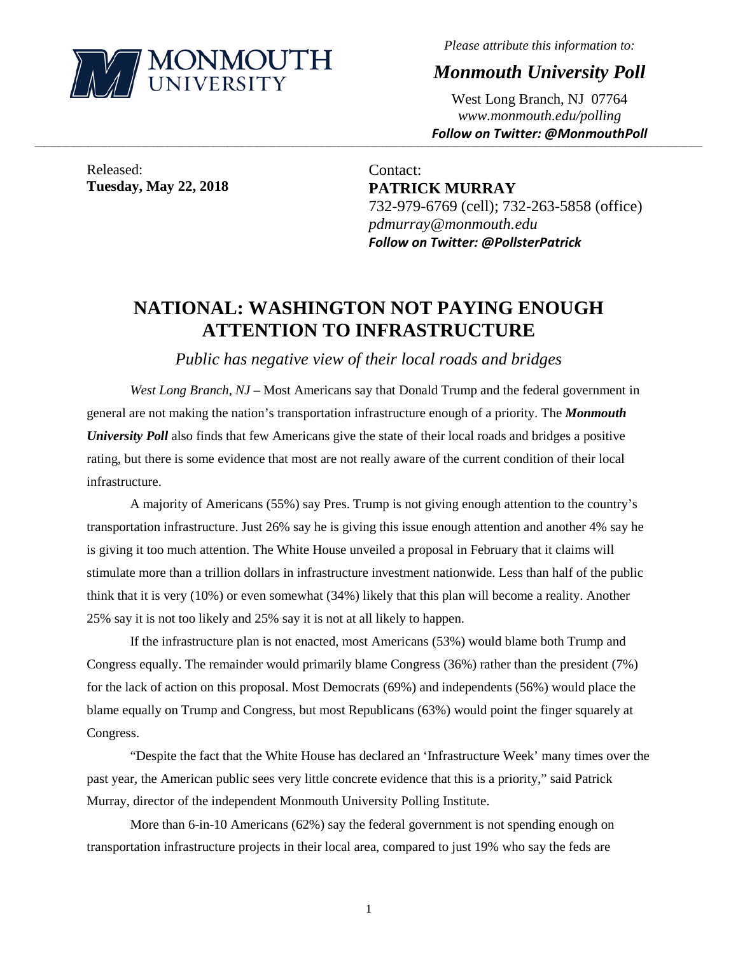

*Please attribute this information to:*

*Monmouth University Poll*

West Long Branch, NJ 07764 *www.monmouth.edu/polling Follow on Twitter: @MonmouthPoll*

Released: **Tuesday, May 22, 2018**

Contact: **PATRICK MURRAY** 732-979-6769 (cell); 732-263-5858 (office) *pdmurray@monmouth.edu Follow on Twitter: @PollsterPatrick*

# **NATIONAL: WASHINGTON NOT PAYING ENOUGH ATTENTION TO INFRASTRUCTURE**

**\_\_\_\_\_\_\_\_\_\_\_\_\_\_\_\_\_\_\_\_\_\_\_\_\_\_\_\_\_\_\_\_\_\_\_\_\_\_\_\_\_\_\_\_\_\_\_\_\_\_\_\_\_\_\_\_\_\_\_\_\_\_\_\_\_\_\_\_\_\_\_\_\_\_\_\_\_\_\_\_\_\_\_\_\_\_\_\_\_\_\_\_\_\_\_\_\_\_\_\_\_\_\_\_\_\_\_\_\_\_\_\_\_\_\_\_\_\_\_\_\_\_\_\_\_\_\_\_\_\_\_\_\_\_\_\_\_\_\_\_\_\_\_\_\_\_\_\_\_\_\_\_\_\_\_\_\_\_\_\_\_\_\_\_\_\_\_\_\_\_\_\_\_\_\_\_\_\_\_\_\_\_\_\_\_\_\_\_\_\_\_\_\_\_\_\_\_\_\_\_\_\_\_\_\_\_\_\_\_\_\_\_\_\_\_\_\_\_\_\_\_\_\_\_\_\_\_\_\_\_\_\_\_\_\_\_\_\_\_\_\_\_\_\_\_\_\_\_\_\_\_\_\_\_\_\_\_\_\_\_\_\_\_\_\_\_\_\_\_\_\_\_\_\_\_\_\_**

*Public has negative view of their local roads and bridges*

*West Long Branch, NJ* – Most Americans say that Donald Trump and the federal government in general are not making the nation's transportation infrastructure enough of a priority. The *Monmouth University Poll* also finds that few Americans give the state of their local roads and bridges a positive rating, but there is some evidence that most are not really aware of the current condition of their local infrastructure.

A majority of Americans (55%) say Pres. Trump is not giving enough attention to the country's transportation infrastructure. Just 26% say he is giving this issue enough attention and another 4% say he is giving it too much attention. The White House unveiled a proposal in February that it claims will stimulate more than a trillion dollars in infrastructure investment nationwide. Less than half of the public think that it is very (10%) or even somewhat (34%) likely that this plan will become a reality. Another 25% say it is not too likely and 25% say it is not at all likely to happen.

If the infrastructure plan is not enacted, most Americans (53%) would blame both Trump and Congress equally. The remainder would primarily blame Congress (36%) rather than the president (7%) for the lack of action on this proposal. Most Democrats (69%) and independents (56%) would place the blame equally on Trump and Congress, but most Republicans (63%) would point the finger squarely at Congress.

"Despite the fact that the White House has declared an 'Infrastructure Week' many times over the past year, the American public sees very little concrete evidence that this is a priority," said Patrick Murray, director of the independent Monmouth University Polling Institute.

More than 6-in-10 Americans (62%) say the federal government is not spending enough on transportation infrastructure projects in their local area, compared to just 19% who say the feds are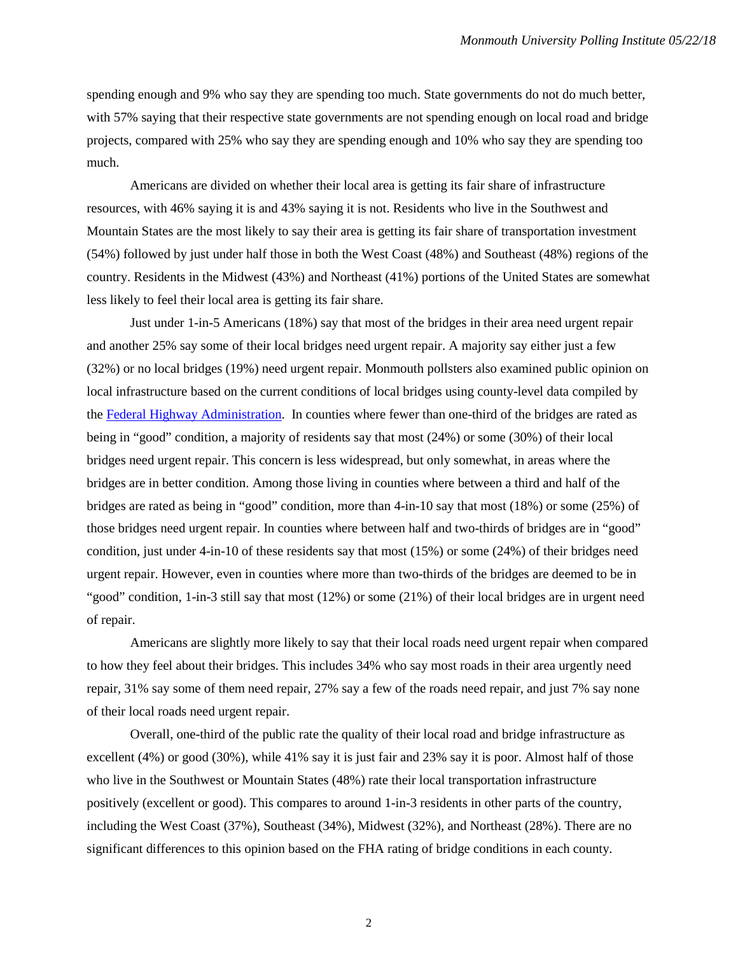spending enough and 9% who say they are spending too much. State governments do not do much better, with 57% saying that their respective state governments are not spending enough on local road and bridge projects, compared with 25% who say they are spending enough and 10% who say they are spending too much.

Americans are divided on whether their local area is getting its fair share of infrastructure resources, with 46% saying it is and 43% saying it is not. Residents who live in the Southwest and Mountain States are the most likely to say their area is getting its fair share of transportation investment (54%) followed by just under half those in both the West Coast (48%) and Southeast (48%) regions of the country. Residents in the Midwest (43%) and Northeast (41%) portions of the United States are somewhat less likely to feel their local area is getting its fair share.

Just under 1-in-5 Americans (18%) say that most of the bridges in their area need urgent repair and another 25% say some of their local bridges need urgent repair. A majority say either just a few (32%) or no local bridges (19%) need urgent repair. Monmouth pollsters also examined public opinion on local infrastructure based on the current conditions of local bridges using county-level data compiled by the [Federal Highway Administration.](https://www.fhwa.dot.gov/bridge/britab.cfm) In counties where fewer than one-third of the bridges are rated as being in "good" condition, a majority of residents say that most (24%) or some (30%) of their local bridges need urgent repair. This concern is less widespread, but only somewhat, in areas where the bridges are in better condition. Among those living in counties where between a third and half of the bridges are rated as being in "good" condition, more than 4-in-10 say that most (18%) or some (25%) of those bridges need urgent repair. In counties where between half and two-thirds of bridges are in "good" condition, just under 4-in-10 of these residents say that most (15%) or some (24%) of their bridges need urgent repair. However, even in counties where more than two-thirds of the bridges are deemed to be in "good" condition, 1-in-3 still say that most (12%) or some (21%) of their local bridges are in urgent need of repair.

Americans are slightly more likely to say that their local roads need urgent repair when compared to how they feel about their bridges. This includes 34% who say most roads in their area urgently need repair, 31% say some of them need repair, 27% say a few of the roads need repair, and just 7% say none of their local roads need urgent repair.

Overall, one-third of the public rate the quality of their local road and bridge infrastructure as excellent (4%) or good (30%), while 41% say it is just fair and 23% say it is poor. Almost half of those who live in the Southwest or Mountain States (48%) rate their local transportation infrastructure positively (excellent or good). This compares to around 1-in-3 residents in other parts of the country, including the West Coast (37%), Southeast (34%), Midwest (32%), and Northeast (28%). There are no significant differences to this opinion based on the FHA rating of bridge conditions in each county.

2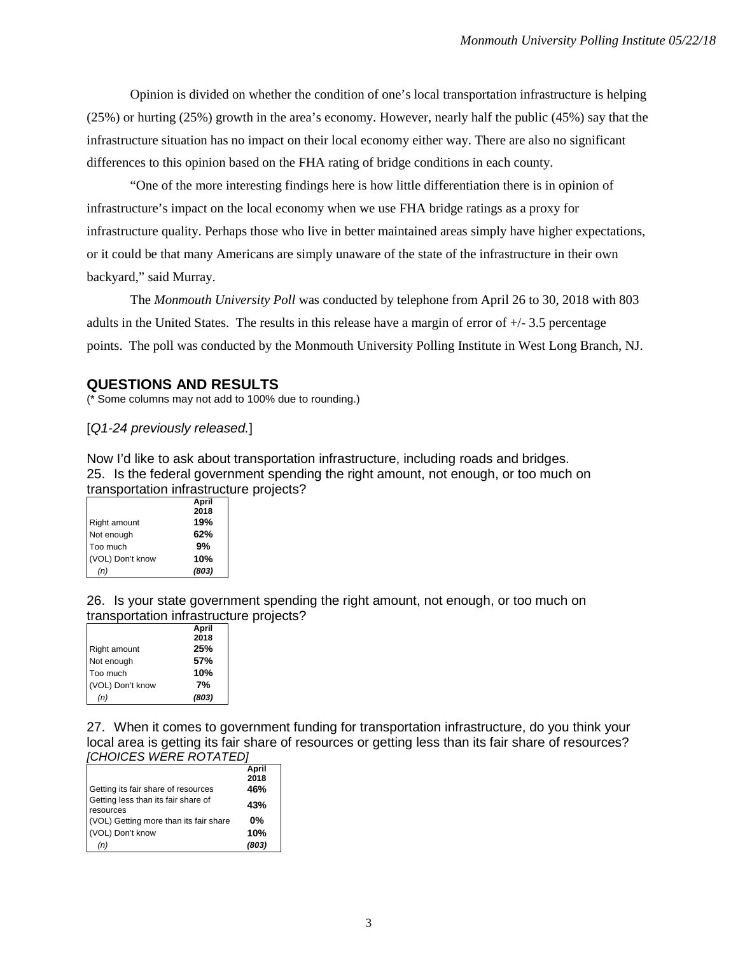Opinion is divided on whether the condition of one's local transportation infrastructure is helping (25%) or hurting (25%) growth in the area's economy. However, nearly half the public (45%) say that the infrastructure situation has no impact on their local economy either way. There are also no significant differences to this opinion based on the FHA rating of bridge conditions in each county.

"One of the more interesting findings here is how little differentiation there is in opinion of infrastructure's impact on the local economy when we use FHA bridge ratings as a proxy for infrastructure quality. Perhaps those who live in better maintained areas simply have higher expectations, or it could be that many Americans are simply unaware of the state of the infrastructure in their own backyard," said Murray.

The *Monmouth University Poll* was conducted by telephone from April 26 to 30, 2018 with 803 adults in the United States. The results in this release have a margin of error of  $+/-3.5$  percentage points. The poll was conducted by the Monmouth University Polling Institute in West Long Branch, NJ.

## **QUESTIONS AND RESULTS**

(\* Some columns may not add to 100% due to rounding.)

## [*Q1-24 previously released.*]

Now I'd like to ask about transportation infrastructure, including roads and bridges. 25. Is the federal government spending the right amount, not enough, or too much on transportation infrastructure projects?

| <b>Right amount</b><br>Not enough<br>Too much<br>(VOL) Don't know<br>(n) | April |
|--------------------------------------------------------------------------|-------|
|                                                                          | 2018  |
|                                                                          | 19%   |
|                                                                          | 62%   |
|                                                                          | 9%    |
|                                                                          | 10%   |
|                                                                          | (803) |

26. Is your state government spending the right amount, not enough, or too much on transportation infrastructure projects?

|                  | April |
|------------------|-------|
|                  | 2018  |
| Right amount     | 25%   |
| Not enough       | 57%   |
| Too much         | 10%   |
| (VOL) Don't know | 7%    |
| (n)              | (803) |

27. When it comes to government funding for transportation infrastructure, do you think your local area is getting its fair share of resources or getting less than its fair share of resources? *[CHOICES WERE ROTATED]*

|                                                  | April |
|--------------------------------------------------|-------|
|                                                  | 2018  |
| Getting its fair share of resources              | 46%   |
| Getting less than its fair share of<br>resources | 43%   |
| (VOL) Getting more than its fair share           | $0\%$ |
| (VOL) Don't know                                 | 10%   |
| (n)                                              |       |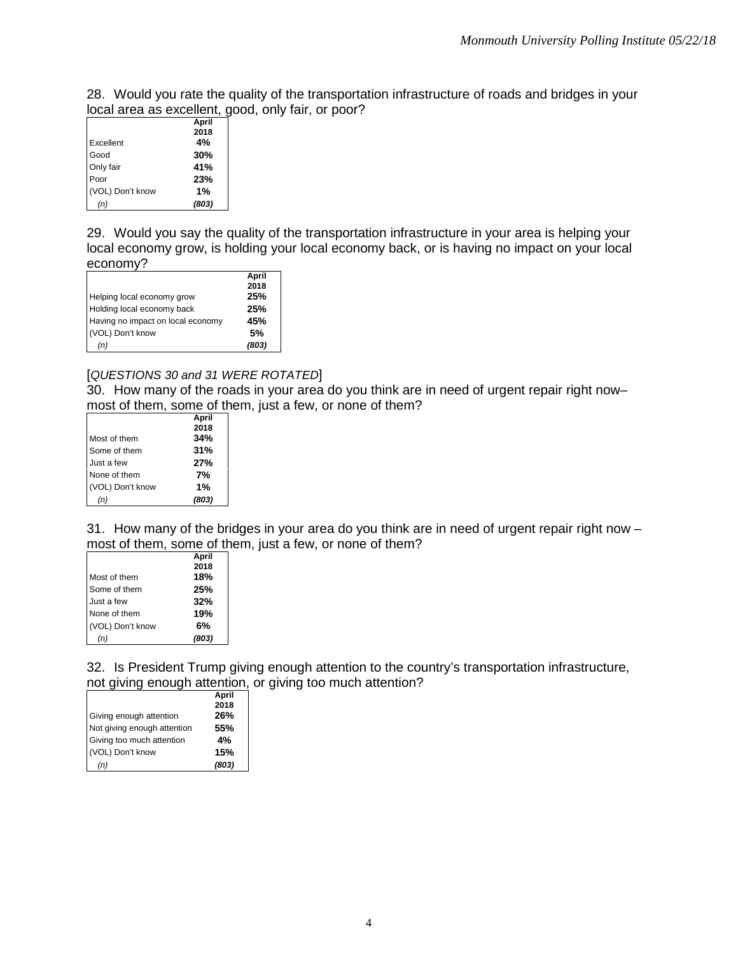28. Would you rate the quality of the transportation infrastructure of roads and bridges in your local area as excellent, good, only fair, or poor?

|                  | April |
|------------------|-------|
|                  | 2018  |
| Excellent        | 4%    |
| Good             | 30%   |
| Only fair        | 41%   |
| Poor             | 23%   |
| (VOL) Don't know | 1%    |
| (n)              | (803) |

29. Would you say the quality of the transportation infrastructure in your area is helping your local economy grow, is holding your local economy back, or is having no impact on your local economy?

|                                   | April |
|-----------------------------------|-------|
|                                   | 2018  |
| Helping local economy grow        | 25%   |
| Holding local economy back        | 25%   |
| Having no impact on local economy | 45%   |
| (VOL) Don't know                  | .5%   |
| (n)                               | (803) |

## [*QUESTIONS 30 and 31 WERE ROTATED*]

30. How many of the roads in your area do you think are in need of urgent repair right now– most of them, some of them, just a few, or none of them?

| April |
|-------|
| 2018  |
| 34%   |
| 31%   |
| 27%   |
| 7%    |
| 1%    |
| (803) |
|       |

31. How many of the bridges in your area do you think are in need of urgent repair right now – most of them, some of them, just a few, or none of them?

|                  | April |
|------------------|-------|
|                  | 2018  |
| Most of them     | 18%   |
| Some of them     | 25%   |
| Just a few       | 32%   |
| None of them     | 19%   |
| (VOL) Don't know | 6%    |
|                  | (803) |

32. Is President Trump giving enough attention to the country's transportation infrastructure, not giving enough attention, or giving too much attention?

|                             | April |
|-----------------------------|-------|
|                             | 2018  |
| Giving enough attention     | 26%   |
| Not giving enough attention | 55%   |
| Giving too much attention   | 4%    |
| (VOL) Don't know            | 15%   |
| (n)                         | (803) |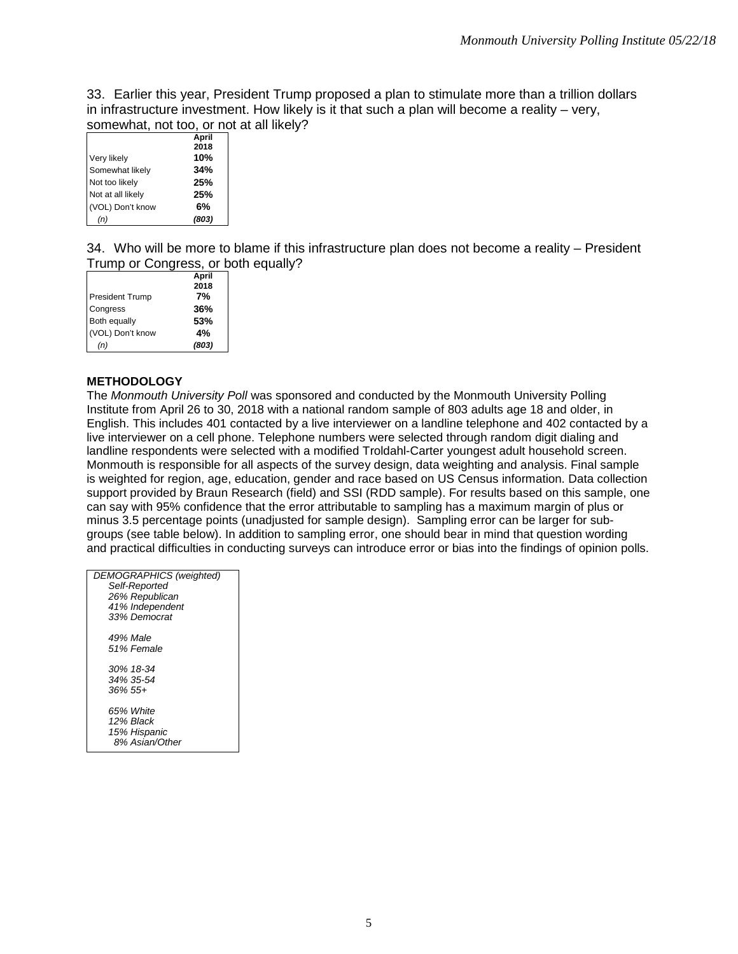33. Earlier this year, President Trump proposed a plan to stimulate more than a trillion dollars in infrastructure investment. How likely is it that such a plan will become a reality – very, somewhat, not too, or not at all likely?

|                   | April |
|-------------------|-------|
|                   | 2018  |
| Very likely       | 10%   |
| Somewhat likely   | 34%   |
| Not too likely    | 25%   |
| Not at all likely | 25%   |
| (VOL) Don't know  | 6%    |
| (n)               | (803) |

34. Who will be more to blame if this infrastructure plan does not become a reality – President Trump or Congress, or both equally?

|                        | April |
|------------------------|-------|
|                        | 2018  |
| <b>President Trump</b> | 7%    |
| Congress               | 36%   |
| Both equally           | 53%   |
| (VOL) Don't know       | 4%    |
|                        | (803) |

### **METHODOLOGY**

The *Monmouth University Poll* was sponsored and conducted by the Monmouth University Polling Institute from April 26 to 30, 2018 with a national random sample of 803 adults age 18 and older, in English. This includes 401 contacted by a live interviewer on a landline telephone and 402 contacted by a live interviewer on a cell phone. Telephone numbers were selected through random digit dialing and landline respondents were selected with a modified Troldahl-Carter youngest adult household screen. Monmouth is responsible for all aspects of the survey design, data weighting and analysis. Final sample is weighted for region, age, education, gender and race based on US Census information. Data collection support provided by Braun Research (field) and SSI (RDD sample). For results based on this sample, one can say with 95% confidence that the error attributable to sampling has a maximum margin of plus or minus 3.5 percentage points (unadjusted for sample design). Sampling error can be larger for subgroups (see table below). In addition to sampling error, one should bear in mind that question wording and practical difficulties in conducting surveys can introduce error or bias into the findings of opinion polls.

| DEMOGRAPHICS (weighted)<br>Self-Reported<br>26% Republican<br>41% Independent |
|-------------------------------------------------------------------------------|
| 33% Democrat                                                                  |
| 49% Male                                                                      |
| 51% Female                                                                    |
| 30% 18-34                                                                     |
| 34% 35-54                                                                     |
| 36% 55+                                                                       |
| 65% White                                                                     |
| 12% Black                                                                     |
| 15% Hispanic                                                                  |
| 8% Asian/Other                                                                |
|                                                                               |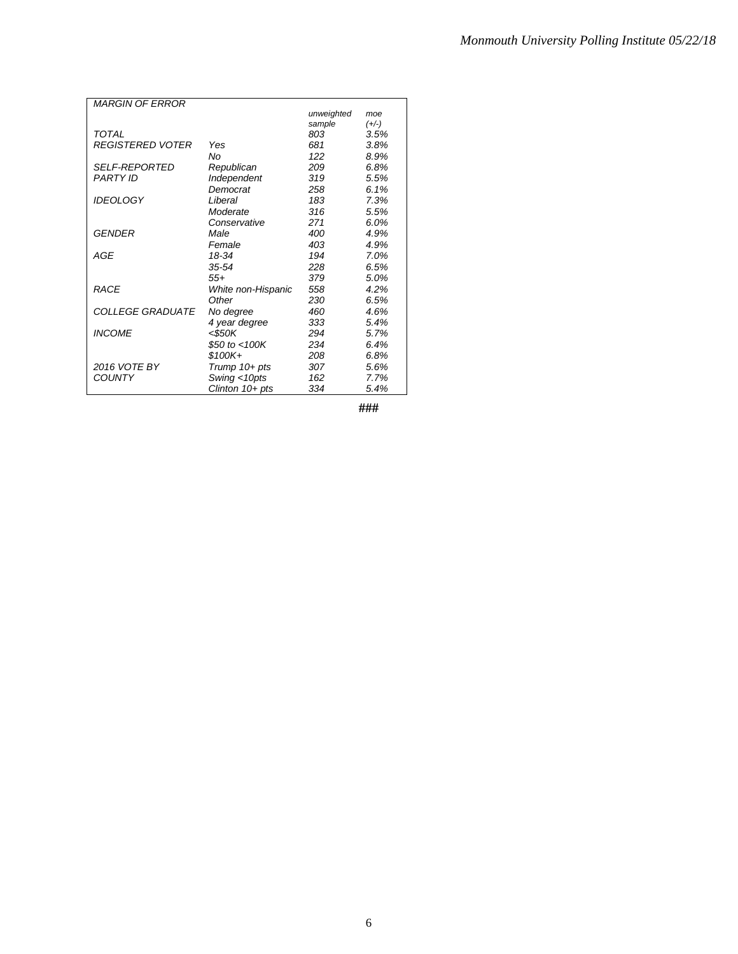| <b>MARGIN OF FRROR</b>  |                    |            |         |
|-------------------------|--------------------|------------|---------|
|                         |                    | unweighted | moe     |
|                         |                    | sample     | $(+/-)$ |
| <b>TOTAL</b>            |                    | 803        | 3.5%    |
| <i>REGISTERED VOTER</i> | Yes                | 681        | 3.8%    |
|                         | No                 | 122        | 8.9%    |
| <b>SELF-REPORTED</b>    | Republican         | 209        | 6.8%    |
| <b>PARTY ID</b>         | Independent        | 319        | 5.5%    |
|                         | Democrat           | 258        | 6.1%    |
| <b>IDEOLOGY</b>         | Liberal            | 183        | 7.3%    |
|                         | Moderate           | 316        | 5.5%    |
|                         | Conservative       | 271        | 6.0%    |
| <b>GFNDFR</b>           | Male               | 400        | 4.9%    |
|                         | Female             | 403        | 4.9%    |
| AGE                     | 18-34              | 194        | 7.0%    |
|                         | 35-54              | 228        | 6.5%    |
|                         | 55+                | 379        | 5.0%    |
| <b>RACE</b>             | White non-Hispanic | 558        | 4.2%    |
|                         | Other              | 230        | 6.5%    |
| <i>COLLEGE GRADUATE</i> | No degree          | 460        | 4.6%    |
|                         | 4 year degree      | 333        | 5.4%    |
| <b>INCOME</b>           | <\$50K             | 294        | 5.7%    |
|                         | \$50 to $<$ 100K   | 234        | 6.4%    |
|                         | \$100K+            | 208        | 6.8%    |
| 2016 VOTE BY            | Trump 10+ pts      | 307        | 5.6%    |
| COUNTY                  | Swing <10pts       | 162        | 7.7%    |
|                         | Clinton $10+pts$   | 334        | 5.4%    |

**###**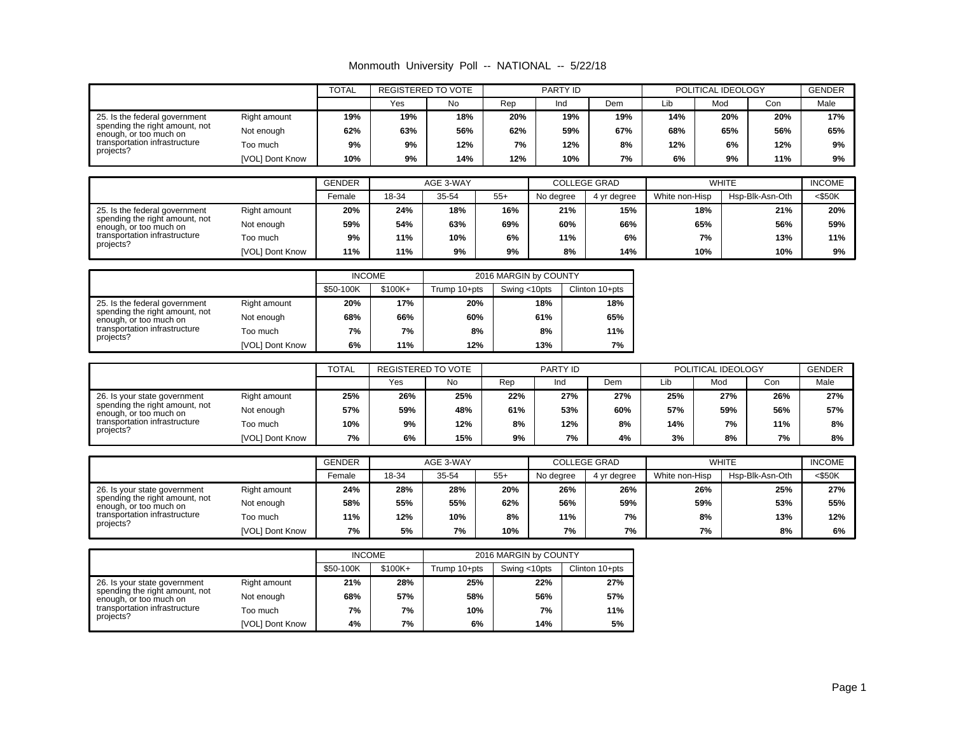| Monmouth University Poll -- NATIONAL -- 5/22/18 |  |  |  |  |  |
|-------------------------------------------------|--|--|--|--|--|
|-------------------------------------------------|--|--|--|--|--|

|                                                                                                                         |                 | <b>TOTAL</b> |     | REGISTERED TO VOTE |     | PARTY ID |     |     | POLITICAL IDEOLOGY |     |      |  |
|-------------------------------------------------------------------------------------------------------------------------|-----------------|--------------|-----|--------------------|-----|----------|-----|-----|--------------------|-----|------|--|
|                                                                                                                         |                 |              | Yes | No                 | Rep | Ind      | Dem | Lib | Mod                | Con | Male |  |
| 25. Is the federal government<br>Right amount<br>spending the right amount, not<br>Not enough<br>enough, or too much on |                 | 19%          | 19% | 18%                | 20% | 19%      | 19% | 14% | 20%                | 20% | 17%  |  |
|                                                                                                                         |                 | 62%          | 63% | 56%                | 62% | 59%      | 67% | 68% | 65%                | 56% | 65%  |  |
| transportation infrastructure                                                                                           | Too much        | 9%           | 9%  | 12%                | 7%  | 12%      | 8%  | 12% | 6%                 | 12% | 9%   |  |
| projects?                                                                                                               | [VOL] Dont Know | 10%          | 9%  | 14%                | 12% | 10%      | 7%  | 6%  | 9%                 | 11% | 9%   |  |

|                                                          |                 | <b>GENDER</b> | AGE 3-WAY |       |       |           | <b>COLLEGE GRAD</b> | <b>WHITE</b>   | <b>INCOME</b>   |        |
|----------------------------------------------------------|-----------------|---------------|-----------|-------|-------|-----------|---------------------|----------------|-----------------|--------|
|                                                          |                 | Female        | 18-34     | 35-54 | $55+$ | No degree | 4 yr degree         | White non-Hisp | Hsp-Blk-Asn-Oth | <\$50K |
| 25. Is the federal government                            | Right amount    | 20%           | 24%       | 18%   | 16%   | 21%       | 15%                 | 18%            | 21%             | 20%    |
| spending the right amount, not<br>enough, or too much on | Not enough      | 59%           | 54%       | 63%   | 69%   | 60%       | 66%                 | 65%            | 56%             | 59%    |
| transportation infrastructure                            | Too much        | 9%            | 11%       | 10%   | 6%    | 11%       | 6%                  | 7%             | 13%             | 11%    |
| projects?                                                | [VOL] Dont Know | 11%           | 11%       | 9%    | 9%    | 8%        | 14%                 | 10%            | 10%             | 9%     |

|                                                                                           |              | <b>INCOME</b> |           | 2016 MARGIN by COUNTY |              |                |  |  |
|-------------------------------------------------------------------------------------------|--------------|---------------|-----------|-----------------------|--------------|----------------|--|--|
|                                                                                           |              | \$50-100K     | $$100K +$ | Trump 10+pts          | Swing <10pts | Clinton 10+pts |  |  |
| 25. Is the federal government<br>spending the right amount, not<br>enough, or too much on | Right amount | 20%           | 17%       | 20%                   | 18%          | 18%            |  |  |
|                                                                                           | Not enough   | 68%           | 66%       | 60%                   | 61%          | 65%            |  |  |
| transportation infrastructure                                                             | Too much     | 7%            | 7%        | 8%                    | 8%           | 11%            |  |  |
| projects?<br>[VOL] Dont Know                                                              |              | 6%            | 11%       | 12%                   | 13%          | 7%             |  |  |

|                                                                                          |                 | TOTAL | REGISTERED TO VOTE |           | PARTY ID |     |     | POLITICAL IDEOLOGY | <b>GENDER</b> |     |      |
|------------------------------------------------------------------------------------------|-----------------|-------|--------------------|-----------|----------|-----|-----|--------------------|---------------|-----|------|
|                                                                                          |                 |       | Yes                | <b>No</b> | Rep      | Ind | Dem | ∟ib                | Mod           | Con | Male |
| 26. Is your state government<br>spending the right amount, not<br>enough, or too much on | Right amount    | 25%   | 26%                | 25%       | 22%      | 27% | 27% | 25%                | 27%           | 26% | 27%  |
|                                                                                          | Not enough      | 57%   | 59%                | 48%       | 61%      | 53% | 60% | 57%                | 59%           | 56% | 57%  |
| transportation infrastructure                                                            | Too much        | 10%   | 9%                 | 12%       | 8%       | 12% | 8%  | 14%                | 7%            | 11% | 8%   |
| projects?                                                                                | [VOL] Dont Know | 7%    | 6%                 | 15%       | 9%       | 7%  | 4%  | 3%                 | 8%            | 7%  | 8%   |

|                                                          |                 | <b>GENDER</b> | AGE 3-WAY |       |       |           | <b>COLLEGE GRAD</b> | <b>WHITE</b>   | <b>INCOME</b>   |           |
|----------------------------------------------------------|-----------------|---------------|-----------|-------|-------|-----------|---------------------|----------------|-----------------|-----------|
|                                                          |                 | Female        | 18-34     | 35-54 | $55+$ | No degree | 4 yr degree         | White non-Hisp | Hsp-Blk-Asn-Oth | $<$ \$50K |
| 26. Is your state government                             | Right amount    | 24%           | 28%       | 28%   | 20%   | 26%       | 26%                 | 26%            | 25%             | 27%       |
| spending the right amount, not<br>enough, or too much on | Not enough      | 58%           | 55%       | 55%   | 62%   | 56%       | 59%                 | 59%            | 53%             | 55%       |
| transportation infrastructure<br>projects?               | Too much        | 11%           | 12%       | 10%   | 8%    | 11%       | 7%                  | 8%             | 13%             | 12%       |
|                                                          | [VOL] Dont Know | 7%            | 5%        | 7%    | 10%   | 7%        | 7%                  | 7%             | 8%              | 6%        |

|                                                                                          |              | <b>INCOME</b> |           | 2016 MARGIN by COUNTY |              |                |  |  |
|------------------------------------------------------------------------------------------|--------------|---------------|-----------|-----------------------|--------------|----------------|--|--|
|                                                                                          |              | \$50-100K     | $$100K +$ | Trump 10+pts          | Swing <10pts | Clinton 10+pts |  |  |
| 26. Is your state government<br>spending the right amount, not<br>enough, or too much on | Right amount | 21%           | 28%       | 25%                   | 22%          | 27%            |  |  |
|                                                                                          | Not enough   | 68%           | 57%       | 58%                   | 56%          | 57%            |  |  |
| transportation infrastructure<br>projects?                                               | Too much     | 7%            | 7%        | 10%                   | 7%           | 11%            |  |  |
| [VOL] Dont Know                                                                          |              | 4%            | 7%        | 6%                    | 14%          | 5%             |  |  |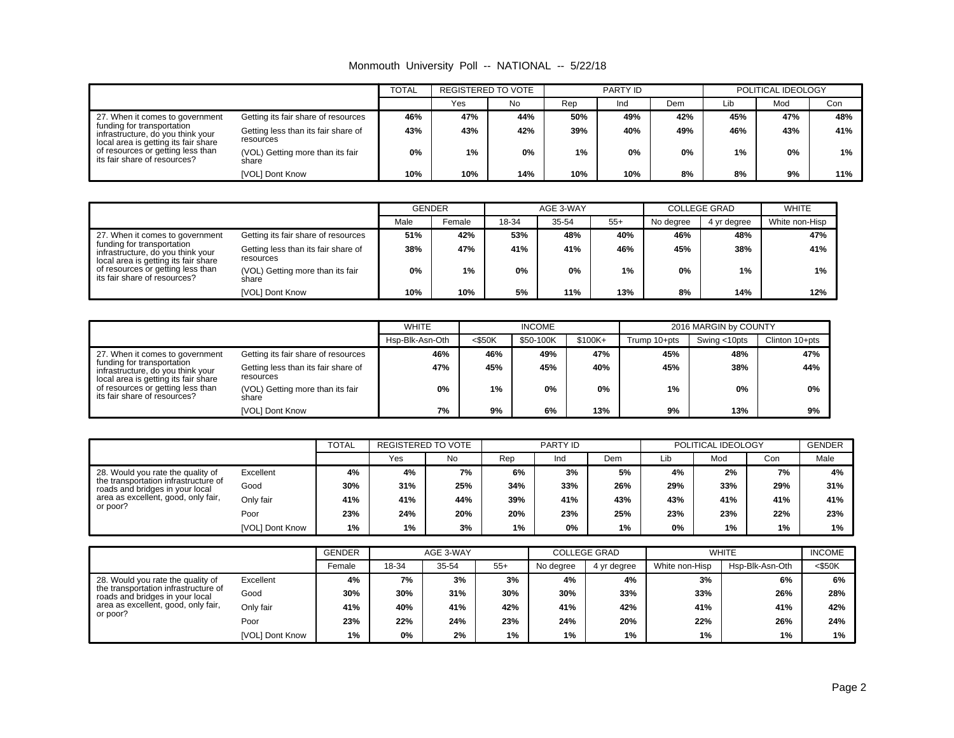| Monmouth University Poll -- NATIONAL -- 5/22/18 |  |  |  |  |  |
|-------------------------------------------------|--|--|--|--|--|
|-------------------------------------------------|--|--|--|--|--|

|                                                                                                                                                                                                    |                                     | <b>TOTAL</b> | REGISTERED TO VOTE |           | PARTY ID |     |     | POLITICAL IDEOLOGY |     |       |
|----------------------------------------------------------------------------------------------------------------------------------------------------------------------------------------------------|-------------------------------------|--------------|--------------------|-----------|----------|-----|-----|--------------------|-----|-------|
|                                                                                                                                                                                                    |                                     |              | Yes                | <b>No</b> | Rep      | Ind | Dem | Lib                | Mod | Con   |
| 27. When it comes to government                                                                                                                                                                    | Getting its fair share of resources | 46%          | 47%                | 44%       | 50%      | 49% | 42% | 45%                | 47% | 48%   |
| funding for transportation<br>infrastructure, do you think your<br>resources<br>local area is getting its fair share<br>of resources or getting less than<br>its fair share of resources?<br>share | Getting less than its fair share of | 43%          | 43%                | 42%       | 39%      | 40% | 49% | 46%                | 43% | 41%   |
|                                                                                                                                                                                                    | (VOL) Getting more than its fair    | 0%           | 1%                 | 0%        | 1%       | 0%  | 0%  | 1%                 | 0%  | $1\%$ |
|                                                                                                                                                                                                    | [VOL] Dont Know                     | 10%          | 10%                | 14%       | 10%      | 10% | 8%  | 8%                 | 9%  | 11%   |

|                                                                                                                                                                              |                                                  | <b>GENDER</b> |        |       | AGE 3-WAY |       | <b>COLLEGE GRAD</b> | <b>WHITE</b> |                |
|------------------------------------------------------------------------------------------------------------------------------------------------------------------------------|--------------------------------------------------|---------------|--------|-------|-----------|-------|---------------------|--------------|----------------|
|                                                                                                                                                                              |                                                  | Male          | Female | 18-34 | 35-54     | $55+$ | No degree           | 4 yr degree  | White non-Hisp |
| 27. When it comes to government                                                                                                                                              | Getting its fair share of resources              | 51%           | 42%    | 53%   | 48%       | 40%   | 46%                 | 48%          | 47%            |
| funding for transportation<br>infrastructure, do you think your<br>local area is getting its fair share<br>of resources or getting less than<br>its fair share of resources? | Getting less than its fair share of<br>resources | 38%           | 47%    | 41%   | 41%       | 46%   | 45%                 | 38%          | 41%            |
|                                                                                                                                                                              | (VOL) Getting more than its fair<br>share        | 0%            | 1%     | $0\%$ | 0%        | 1%    | 0%                  | $1\%$        | 1%             |
|                                                                                                                                                                              | [VOL] Dont Know                                  | 10%           | 10%    | 5%    | 11%       | 13%   | 8%                  | 14%          | 12%            |

|                                                                                                                                                                              |                                                  | <b>WHITE</b>    |           | <b>INCOME</b> |           | 2016 MARGIN by COUNTY |              |                |  |
|------------------------------------------------------------------------------------------------------------------------------------------------------------------------------|--------------------------------------------------|-----------------|-----------|---------------|-----------|-----------------------|--------------|----------------|--|
|                                                                                                                                                                              |                                                  | Hsp-Blk-Asn-Oth | $<$ \$50K | \$50-100K     | $$100K +$ | Trump 10+pts          | Swing <10pts | Clinton 10+pts |  |
| 27. When it comes to government                                                                                                                                              | Getting its fair share of resources              | 46%             | 46%       | 49%           | 47%       | 45%                   | 48%          | 47%            |  |
| funding for transportation<br>infrastructure, do you think your<br>local area is getting its fair share<br>of resources or getting less than<br>its fair share of resources? | Getting less than its fair share of<br>resources | 47%             | 45%       | 45%           | 40%       | 45%                   | 38%          | 44%            |  |
|                                                                                                                                                                              | (VOL) Getting more than its fair<br>share        | 0%              | 1%        | 0%            | 0%        | $1\%$                 | 0%           | 0%             |  |
|                                                                                                                                                                              | [VOL] Dont Know                                  | 7%              | 9%        | 6%            | 13%       | 9%                    | 13%          | 9%             |  |

|                                                                                                                        |                 | <b>TOTAL</b> | <b>REGISTERED TO VOTE</b> |           | PARTY ID |     |       | POLITICAL IDEOLOGY | <b>GENDER</b> |     |      |
|------------------------------------------------------------------------------------------------------------------------|-----------------|--------------|---------------------------|-----------|----------|-----|-------|--------------------|---------------|-----|------|
|                                                                                                                        |                 |              | Yes                       | <b>No</b> | Rep      | Ind | Dem   | Lib                | Mod           | Con | Male |
| 28. Would you rate the quality of                                                                                      | Excellent       | 4%           | 4%                        | 7%        | 6%       | 3%  | 5%    | 4%                 | 2%            | 7%  | 4%   |
| the transportation infrastructure of<br>Good<br>roads and bridges in your local<br>area as excellent, good, only fair, |                 | 30%          | 31%                       | 25%       | 34%      | 33% | 26%   | 29%                | 33%           | 29% | 31%  |
|                                                                                                                        | Only fair       | 41%          | 41%                       | 44%       | 39%      | 41% | 43%   | 43%                | 41%           | 41% | 41%  |
| or poor?                                                                                                               | Poor            | 23%          | 24%                       | 20%       | 20%      | 23% | 25%   | 23%                | 23%           | 22% | 23%  |
|                                                                                                                        | [VOL] Dont Know | 1%           | $1\%$                     | 3%        | 1%       | 0%  | $1\%$ | $0\%$              | 1%            | 1%  | 1%   |

|                                                                         |                 | <b>GENDER</b> | AGE 3-WAY |       |       |           | <b>COLLEGE GRAD</b> | <b>WHITE</b>   |                 | <b>INCOME</b> |
|-------------------------------------------------------------------------|-----------------|---------------|-----------|-------|-------|-----------|---------------------|----------------|-----------------|---------------|
|                                                                         |                 | Female        | 18-34     | 35-54 | $55+$ | No degree | 4 yr degree         | White non-Hisp | Hsp-Blk-Asn-Oth | $<$ \$50K     |
| 28. Would you rate the quality of                                       | Excellent       | 4%            | 7%        | 3%    | 3%    | 4%        | 4%                  | 3%             | 6%              | 6%            |
| the transportation infrastructure of<br>roads and bridges in your local | Good            | 30%           | 30%       | 31%   | 30%   | 30%       | 33%                 | 33%            | 26%             | 28%           |
| area as excellent, good, only fair,                                     | Only fair       | 41%           | 40%       | 41%   | 42%   | 41%       | 42%                 | 41%            | 41%             | 42%           |
| or poor?                                                                | Poor            | 23%           | 22%       | 24%   | 23%   | 24%       | 20%                 | 22%            | 26%             | 24%           |
|                                                                         | [VOL] Dont Know | 1%            | 0%        | 2%    | 1%    | 1%        | 1%                  | 1%             | 1%              | 1%            |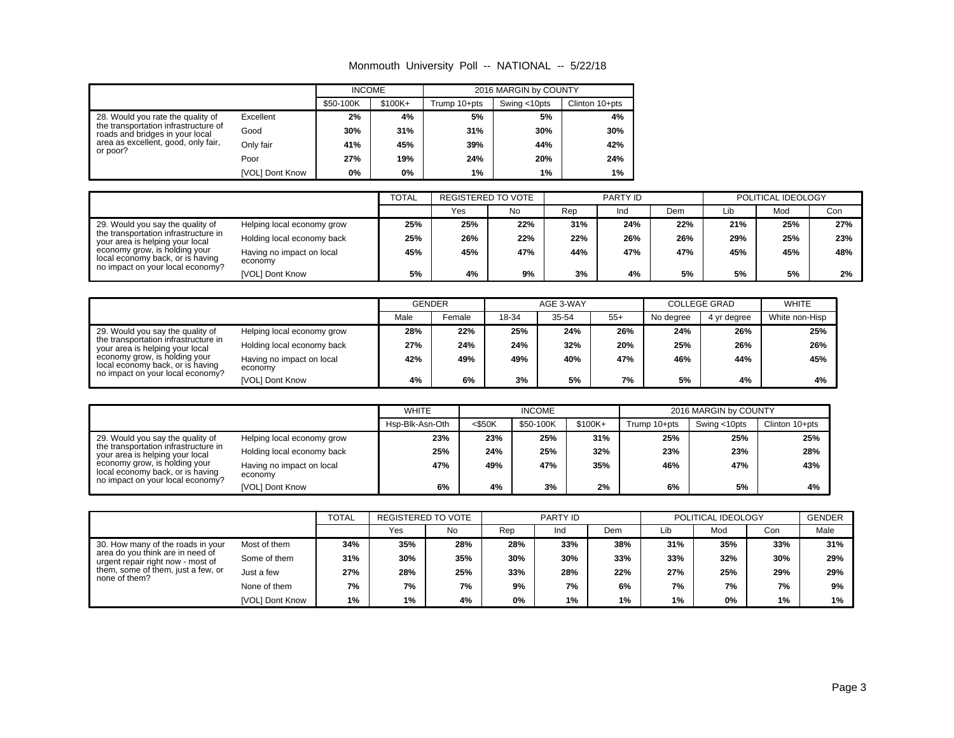#### Monmouth University Poll -- NATIONAL -- 5/22/18

|                                                                                                                            |                        | <b>INCOME</b> |           | 2016 MARGIN by COUNTY |              |                |  |
|----------------------------------------------------------------------------------------------------------------------------|------------------------|---------------|-----------|-----------------------|--------------|----------------|--|
|                                                                                                                            |                        | \$50-100K     | $$100K +$ | Trump 10+pts          | Swing <10pts | Clinton 10+pts |  |
| 28. Would you rate the quality of                                                                                          | Excellent              | 2%            | 4%        | 5%                    | 5%           | 4%             |  |
| the transportation infrastructure of<br>roads and bridges in your local<br>area as excellent, good, only fair,<br>or poor? | Good                   | 30%           | 31%       | 31%                   | 30%          | 30%            |  |
|                                                                                                                            | Only fair              | 41%           | 45%       | 39%                   | 44%          | 42%            |  |
|                                                                                                                            | Poor                   | 27%           | 19%       | 24%                   | 20%          | 24%            |  |
|                                                                                                                            | <b>IVOLI Dont Know</b> | 0%            | $0\%$     | 1%                    | 1%           | 1%             |  |

|                                                                         |                                      | <b>TOTAL</b> | REGISTERED TO VOTE |     |     | PARTY ID |     |     | POLITICAL IDEOLOGY |     |
|-------------------------------------------------------------------------|--------------------------------------|--------------|--------------------|-----|-----|----------|-----|-----|--------------------|-----|
|                                                                         |                                      |              | Yes                | No  | Rep | Ind      | Dem | Lib | Mod                | Con |
| 29. Would you say the quality of                                        | Helping local economy grow           | 25%          | 25%                | 22% | 31% | 24%      | 22% | 21% | 25%                | 27% |
| the transportation infrastructure in<br>your area is helping your local | Holding local economy back           | 25%          | 26%                | 22% | 22% | 26%      | 26% | 29% | 25%                | 23% |
| economy grow, is holding your<br>local economy back, or is having       | Having no impact on local<br>economy | 45%          | 45%                | 47% | 44% | 47%      | 47% | 45% | 45%                | 48% |
| no impact on your local economy?                                        | [VOL] Dont Know                      | 5%           | 4%                 | 9%  | 3%  | 4%       | 5%  | 5%  | 5%                 | 2%  |

|                                                                         |                                      | <b>GENDER</b> |        |       | AGE 3-WAY |       | <b>COLLEGE GRAD</b> | <b>WHITE</b> |                |
|-------------------------------------------------------------------------|--------------------------------------|---------------|--------|-------|-----------|-------|---------------------|--------------|----------------|
|                                                                         |                                      | Male          | Female | 18-34 | 35-54     | $55+$ | No degree           | 4 yr degree  | White non-Hisp |
| 29. Would you say the quality of                                        | Helping local economy grow           | 28%           | 22%    | 25%   | 24%       | 26%   | 24%                 | 26%          | 25%            |
| the transportation infrastructure in<br>your area is helping your local | Holding local economy back           | 27%           | 24%    | 24%   | 32%       | 20%   | 25%                 | 26%          | 26%            |
| economy grow, is holding your<br>local economy back, or is having       | Having no impact on local<br>economy | 42%           | 49%    | 49%   | 40%       | 47%   | 46%                 | 44%          | 45%            |
| no impact on your local economy?                                        | [VOL] Dont Know                      | 4%            | 6%     | 3%    | 5%        | 7%    | 5%                  | 4%           | 4%             |

|                                                                                                       |                                      | <b>WHITE</b>    | <b>INCOME</b> |           |           | 2016 MARGIN by COUNTY |              |                |  |
|-------------------------------------------------------------------------------------------------------|--------------------------------------|-----------------|---------------|-----------|-----------|-----------------------|--------------|----------------|--|
|                                                                                                       |                                      | Hsp-Blk-Asn-Oth | $<$ \$50K     | \$50-100K | $$100K +$ | Trump 10+pts          | Swing <10pts | Clinton 10+pts |  |
| 29. Would you say the quality of                                                                      | Helping local economy grow           | 23%             | 23%           | 25%       | 31%       | 25%                   | 25%          | 25%            |  |
| the transportation infrastructure in<br>your area is helping your local                               | Holding local economy back           | 25%             | 24%           | 25%       | 32%       | 23%                   | 23%          | 28%            |  |
| economy grow, is holding your<br>local economy back, or is having<br>no impact on your local economy? | Having no impact on local<br>economy | 47%             | 49%           | 47%       | 35%       | 46%                   | 47%          | 43%            |  |
|                                                                                                       | [VOL] Dont Know                      | 6%              | 4%            | 3%        | 2%        | 6%                    | 5%           | 4%             |  |

|                                                                                                            |                 | <b>TOTAL</b><br>REGISTERED TO VOTE |     | PARTY ID |       |     | POLITICAL IDEOLOGY | <b>GENDER</b> |     |     |      |
|------------------------------------------------------------------------------------------------------------|-----------------|------------------------------------|-----|----------|-------|-----|--------------------|---------------|-----|-----|------|
|                                                                                                            |                 |                                    | Yes | No       | Rep   | Ind | Dem                | Lib           | Mod | Con | Male |
| 30. How many of the roads in your<br>area do you think are in need of<br>urgent repair right now - most of | Most of them    | 34%                                | 35% | 28%      | 28%   | 33% | 38%                | 31%           | 35% | 33% | 31%  |
|                                                                                                            | Some of them    | 31%                                | 30% | 35%      | 30%   | 30% | 33%                | 33%           | 32% | 30% | 29%  |
| them, some of them, just a few, or<br>none of them?                                                        | Just a few      | 27%                                | 28% | 25%      | 33%   | 28% | 22%                | 27%           | 25% | 29% | 29%  |
|                                                                                                            | None of them    | 7%                                 | 7%  | 7%       | 9%    | 7%  | 6%                 | 7%            | 7%  | 7%  | 9%   |
|                                                                                                            | [VOL] Dont Know | 1%                                 | 1%  | 4%       | $0\%$ | 1%  | 1%                 | 1%            | 0%  | 1%  | 1%   |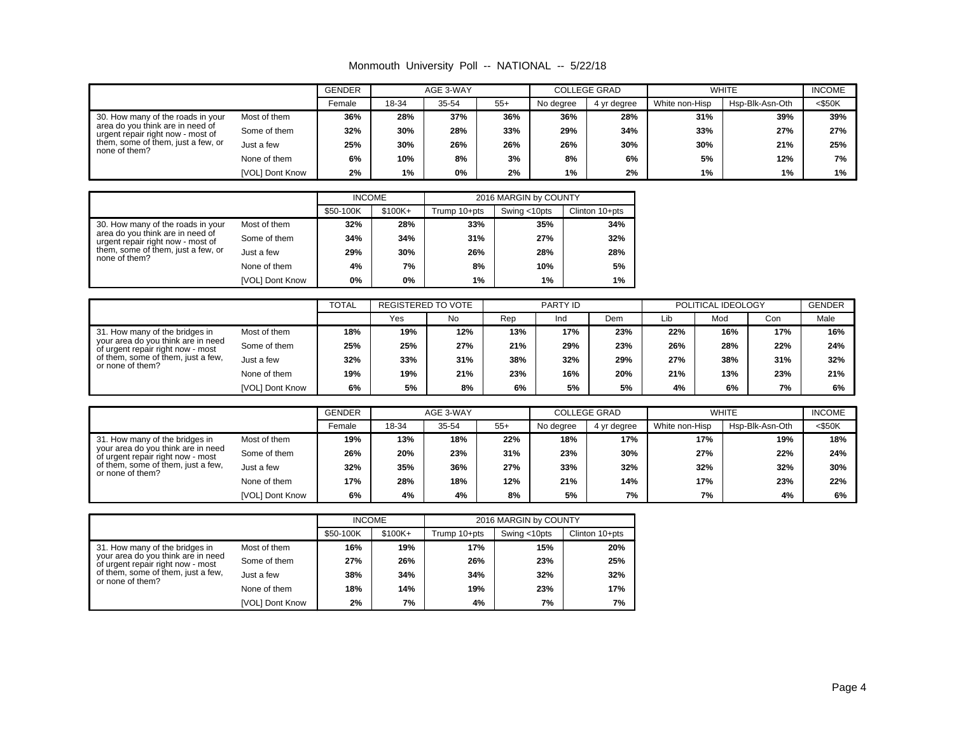|  |  |  | Monmouth University Poll -- NATIONAL -- 5/22/18 |  |  |
|--|--|--|-------------------------------------------------|--|--|
|--|--|--|-------------------------------------------------|--|--|

|                                                                                                            |                        | <b>GENDER</b> | AGE 3-WAY |       |       | <b>COLLEGE GRAD</b> |             | <b>WHITE</b>   |                 | <b>INCOME</b> |
|------------------------------------------------------------------------------------------------------------|------------------------|---------------|-----------|-------|-------|---------------------|-------------|----------------|-----------------|---------------|
|                                                                                                            |                        | Female        | 18-34     | 35-54 | $55+$ | No degree           | 4 yr degree | White non-Hisp | Hsp-Blk-Asn-Oth | $<$ \$50K     |
| 30. How many of the roads in your<br>area do you think are in need of<br>urgent repair right now - most of | Most of them           | 36%           | 28%       | 37%   | 36%   | 36%                 | 28%         | 31%            | 39%             | 39%           |
|                                                                                                            | Some of them           | 32%           | 30%       | 28%   | 33%   | 29%                 | 34%         | 33%            | 27%             | 27%           |
| them, some of them, just a few, or<br>none of them?                                                        | Just a few             | 25%           | 30%       | 26%   | 26%   | 26%                 | 30%         | 30%            | 21%             | 25%           |
|                                                                                                            | None of them           | 6%            | 10%       | 8%    | 3%    | 8%                  | 6%          | 5%             | 12%             | 7%            |
|                                                                                                            | <b>IVOLI Dont Know</b> | 2%            | 1%        | 0%    | 2%    | $1\%$               | 2%          | $1\%$          | 1%              | 1%            |

|                                                                                                                              |                 | <b>INCOME</b> |          | 2016 MARGIN by COUNTY |              |                |  |
|------------------------------------------------------------------------------------------------------------------------------|-----------------|---------------|----------|-----------------------|--------------|----------------|--|
|                                                                                                                              |                 | \$50-100K     | $$100K+$ | Trump 10+pts          | Swing <10pts | Clinton 10+pts |  |
| 30. How many of the roads in your                                                                                            | Most of them    | 32%           | 28%      | 33%                   | 35%          | 34%            |  |
| area do you think are in need of<br>urgent repair right now - most of<br>them, some of them, just a few, or<br>none of them? | Some of them    | 34%           | 34%      | 31%                   | 27%          | 32%            |  |
|                                                                                                                              | Just a few      | 29%           | 30%      | 26%                   | 28%          | 28%            |  |
|                                                                                                                              | None of them    | 4%            | 7%       | 8%                    | 10%          | 5%             |  |
|                                                                                                                              | [VOL] Dont Know | 0%            | 0%       | 1%                    | 1%           | 1%             |  |

|                                                                         |                 | <b>TOTAL</b> | REGISTERED TO VOTE |     | PARTY ID |     |     | POLITICAL IDEOLOGY | <b>GENDER</b> |     |      |
|-------------------------------------------------------------------------|-----------------|--------------|--------------------|-----|----------|-----|-----|--------------------|---------------|-----|------|
|                                                                         |                 |              | Yes                | No  | Rep      | Ind | Dem | Lib                | Mod           | Con | Male |
| 31. How many of the bridges in                                          | Most of them    | 18%          | 19%                | 12% | 13%      | 17% | 23% | 22%                | 16%           | 17% | 16%  |
| your area do you think are in need<br>of urgent repair right now - most | Some of them    | 25%          | 25%                | 27% | 21%      | 29% | 23% | 26%                | 28%           | 22% | 24%  |
| of them, some of them, just a few,<br>or none of them?                  | Just a few      | 32%          | 33%                | 31% | 38%      | 32% | 29% | 27%                | 38%           | 31% | 32%  |
|                                                                         | None of them    | 19%          | 19%                | 21% | 23%      | 16% | 20% | 21%                | 13%           | 23% | 21%  |
|                                                                         | [VOL] Dont Know | 6%           | 5%                 | 8%  | 6%       | 5%  | 5%  | 4%                 | 6%            | 7%  | 6%   |

|                                                                         |                        | <b>GENDER</b><br>AGE 3-WAY |       |       | <b>COLLEGE GRAD</b> |           |             | <b>WHITE</b>   |                 |           |
|-------------------------------------------------------------------------|------------------------|----------------------------|-------|-------|---------------------|-----------|-------------|----------------|-----------------|-----------|
|                                                                         |                        | Female                     | 18-34 | 35-54 | $55+$               | No degree | 4 yr degree | White non-Hisp | Hsp-Blk-Asn-Oth | $<$ \$50K |
| 31. How many of the bridges in                                          | Most of them           | 19%                        | 13%   | 18%   | 22%                 | 18%       | 17%         | 17%            | 19%             | 18%       |
| your area do you think are in need<br>of urgent repair right now - most | Some of them           | 26%                        | 20%   | 23%   | 31%                 | 23%       | 30%         | 27%            | 22%             | 24%       |
| of them, some of them, just a few,<br>or none of them?                  | Just a few             | 32%                        | 35%   | 36%   | 27%                 | 33%       | 32%         | 32%            | 32%             | 30%       |
|                                                                         | None of them           | 17%                        | 28%   | 18%   | 12%                 | 21%       | 14%         | 17%            | 23%             | 22%       |
|                                                                         | <b>IVOLI Dont Know</b> | 6%                         | 4%    | 4%    | 8%                  | 5%        | 7%          | 7%             | 4%              | 6%        |

|                                                                         |                 | <b>INCOME</b> |           |              | 2016 MARGIN by COUNTY |                |  |  |
|-------------------------------------------------------------------------|-----------------|---------------|-----------|--------------|-----------------------|----------------|--|--|
|                                                                         |                 | \$50-100K     | $$100K +$ | Trump 10+pts | Swing <10pts          | Clinton 10+pts |  |  |
| 31. How many of the bridges in                                          | Most of them    | 16%           | 19%       | 17%          | 15%                   | 20%            |  |  |
| your area do you think are in need<br>of urgent repair right now - most | Some of them    | 27%           | 26%       | 26%          | 23%                   | 25%            |  |  |
| of them, some of them, just a few,<br>or none of them?                  | Just a few      | 38%           | 34%       | 34%          | 32%                   | 32%            |  |  |
|                                                                         | None of them    | 18%           | 14%       | 19%          | 23%                   | 17%            |  |  |
|                                                                         | [VOL] Dont Know | 2%            | 7%        | 4%           | 7%                    | 7%             |  |  |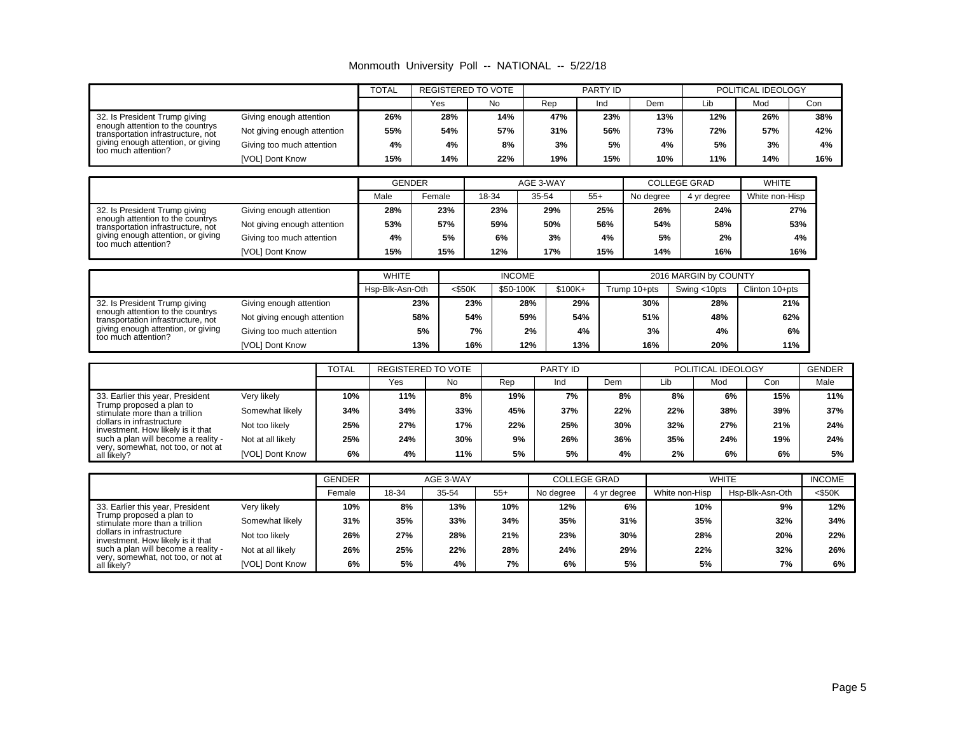| Lib<br>Yes<br><b>No</b><br>Rep<br>Ind<br>Dem<br>Mod<br>26%<br>28%<br>14%<br>47%<br>23%<br>13%<br>12%<br>26%<br>32. Is President Trump giving<br>Giving enough attention<br>enough attention to the countrys<br>55%<br>54%<br>57%<br>56%<br>31%<br>73%<br>72%<br>57%<br>Not giving enough attention<br>transportation infrastructure, not<br>giving enough attention, or giving<br>4%<br>8%<br>3%<br>5%<br>4%<br>3%<br>Giving too much attention<br>4%<br>5%<br>too much attention?<br>22%<br>15%<br>[VOL] Dont Know<br>15%<br>14%<br>19%<br>10%<br>11%<br>14%<br><b>GENDER</b><br>AGE 3-WAY<br><b>COLLEGE GRAD</b><br><b>WHITE</b><br>Male<br>Female<br>18-34<br>35-54<br>$55+$<br>White non-Hisp<br>No degree<br>4 yr degree | Con<br>38%<br>42%<br>4%<br>16% |
|-------------------------------------------------------------------------------------------------------------------------------------------------------------------------------------------------------------------------------------------------------------------------------------------------------------------------------------------------------------------------------------------------------------------------------------------------------------------------------------------------------------------------------------------------------------------------------------------------------------------------------------------------------------------------------------------------------------------------------|--------------------------------|
|                                                                                                                                                                                                                                                                                                                                                                                                                                                                                                                                                                                                                                                                                                                               |                                |
|                                                                                                                                                                                                                                                                                                                                                                                                                                                                                                                                                                                                                                                                                                                               |                                |
|                                                                                                                                                                                                                                                                                                                                                                                                                                                                                                                                                                                                                                                                                                                               |                                |
|                                                                                                                                                                                                                                                                                                                                                                                                                                                                                                                                                                                                                                                                                                                               |                                |
|                                                                                                                                                                                                                                                                                                                                                                                                                                                                                                                                                                                                                                                                                                                               |                                |
|                                                                                                                                                                                                                                                                                                                                                                                                                                                                                                                                                                                                                                                                                                                               |                                |
|                                                                                                                                                                                                                                                                                                                                                                                                                                                                                                                                                                                                                                                                                                                               |                                |
|                                                                                                                                                                                                                                                                                                                                                                                                                                                                                                                                                                                                                                                                                                                               |                                |
| 29%<br>25%<br>26%<br>32. Is President Trump giving<br>Giving enough attention<br>28%<br>23%<br>23%<br>24%<br>enough attention to the countrys                                                                                                                                                                                                                                                                                                                                                                                                                                                                                                                                                                                 | 27%                            |
| 53%<br>57%<br>59%<br>50%<br>56%<br>54%<br>58%<br>Not giving enough attention<br>transportation infrastructure, not                                                                                                                                                                                                                                                                                                                                                                                                                                                                                                                                                                                                            | 53%                            |
| giving enough attention, or giving<br>5%<br>3%<br>4%<br>5%<br>2%<br>Giving too much attention<br>4%<br>6%<br>too much attention?                                                                                                                                                                                                                                                                                                                                                                                                                                                                                                                                                                                              | 4%                             |
| 15%<br>17%<br>15%<br>16%<br>[VOL] Dont Know<br>15%<br>12%<br>14%                                                                                                                                                                                                                                                                                                                                                                                                                                                                                                                                                                                                                                                              | 16%                            |
| <b>WHITE</b><br><b>INCOME</b><br>2016 MARGIN by COUNTY                                                                                                                                                                                                                                                                                                                                                                                                                                                                                                                                                                                                                                                                        |                                |
| $<$ \$50K<br>Hsp-Blk-Asn-Oth<br>\$50-100K<br>$$100K+$<br>Trump 10+pts<br>Swing <10pts<br>Clinton 10+pts                                                                                                                                                                                                                                                                                                                                                                                                                                                                                                                                                                                                                       |                                |
| 23%<br>28%<br>29%<br>30%<br>28%<br>32. Is President Trump giving<br>Giving enough attention<br>23%                                                                                                                                                                                                                                                                                                                                                                                                                                                                                                                                                                                                                            | 21%                            |
| enough attention to the countrys<br>58%<br>54%<br>59%<br>54%<br>51%<br>Not giving enough attention<br>48%<br>transportation infrastructure, not                                                                                                                                                                                                                                                                                                                                                                                                                                                                                                                                                                               | 62%                            |
| giving enough attention, or giving<br>Giving too much attention<br>5%<br>2%<br>4%<br>3%<br>4%<br>7%                                                                                                                                                                                                                                                                                                                                                                                                                                                                                                                                                                                                                           | 6%                             |
| too much attention?<br>13%<br>16%<br>12%<br>13%<br>20%<br>[VOL] Dont Know<br>16%                                                                                                                                                                                                                                                                                                                                                                                                                                                                                                                                                                                                                                              | 11%                            |
|                                                                                                                                                                                                                                                                                                                                                                                                                                                                                                                                                                                                                                                                                                                               |                                |
| <b>TOTAL</b><br><b>REGISTERED TO VOTE</b><br>PARTY ID<br>POLITICAL IDEOLOGY                                                                                                                                                                                                                                                                                                                                                                                                                                                                                                                                                                                                                                                   | <b>GENDER</b>                  |
| Yes<br>Lib<br><b>No</b><br>Rep<br>Ind<br>Dem<br>Mod<br>Con                                                                                                                                                                                                                                                                                                                                                                                                                                                                                                                                                                                                                                                                    | Male                           |
| 7%<br>Very likely<br>11%<br>8%<br>8%<br>8%<br>6%<br>15%<br>33. Earlier this vear. President<br>10%<br>19%                                                                                                                                                                                                                                                                                                                                                                                                                                                                                                                                                                                                                     | 11%                            |
| Trump proposed a plan to<br>Somewhat likely<br>34%<br>34%<br>33%<br>45%<br>37%<br>22%<br>22%<br>38%<br>39%<br>stimulate more than a trillion                                                                                                                                                                                                                                                                                                                                                                                                                                                                                                                                                                                  | 37%                            |
| dollars in infrastructure<br>Not too likely<br>25%<br>27%<br>17%<br>22%<br>25%<br>30%<br>32%<br>27%<br>21%<br>investment. How likely is it that                                                                                                                                                                                                                                                                                                                                                                                                                                                                                                                                                                               | 24%                            |
| such a plan will become a reality -<br>25%<br>24%<br>30%<br>26%<br>36%<br>35%<br>24%<br>Not at all likely<br>9%<br>19%                                                                                                                                                                                                                                                                                                                                                                                                                                                                                                                                                                                                        | 24%                            |
| very, somewhat, not too, or not at<br>5%<br>6%<br>4%<br>11%<br>5%<br>4%<br>2%<br>6%<br>6%<br>[VOL] Dont Know<br>all likely?                                                                                                                                                                                                                                                                                                                                                                                                                                                                                                                                                                                                   | 5%                             |
|                                                                                                                                                                                                                                                                                                                                                                                                                                                                                                                                                                                                                                                                                                                               |                                |
| <b>COLLEGE GRAD</b><br><b>WHITE</b><br><b>GENDER</b><br>AGE 3-WAY                                                                                                                                                                                                                                                                                                                                                                                                                                                                                                                                                                                                                                                             | <b>INCOME</b>                  |
| 18-34<br>35-54<br>White non-Hisp<br>Female<br>$55+$<br>Hsp-Blk-Asn-Oth<br>No degree<br>4 yr degree                                                                                                                                                                                                                                                                                                                                                                                                                                                                                                                                                                                                                            | $<$ \$50K                      |
| Very likely<br>12%<br>6%<br>10%<br>33. Earlier this year, President<br>10%<br>8%<br>13%<br>10%<br>Trump proposed a plan to                                                                                                                                                                                                                                                                                                                                                                                                                                                                                                                                                                                                    | 9%<br>12%                      |
| 35%<br>33%<br>34%<br>35%<br>31%<br>35%<br>32%<br>Somewhat likely<br>31%<br>stimulate more than a trillion                                                                                                                                                                                                                                                                                                                                                                                                                                                                                                                                                                                                                     | 34%                            |
| dollars in infrastructure<br>23%<br>30%<br>Not too likely<br>26%<br>27%<br>28%<br>21%<br>28%<br>20%<br>investment. How likely is it that                                                                                                                                                                                                                                                                                                                                                                                                                                                                                                                                                                                      | 22%                            |
| such a plan will become a reality -<br>25%<br>28%<br>29%<br>Not at all likely<br>26%<br>22%<br>24%<br>22%<br>32%<br>very, somewhat, not too, or not at                                                                                                                                                                                                                                                                                                                                                                                                                                                                                                                                                                        | 26%                            |
| 5%<br>4%<br>7%<br>6%<br>5%<br>5%<br>[VOL] Dont Know<br>6%<br>all likely?                                                                                                                                                                                                                                                                                                                                                                                                                                                                                                                                                                                                                                                      | 7%<br>6%                       |

#### Monmouth University Poll -- NATIONAL -- 5/22/18